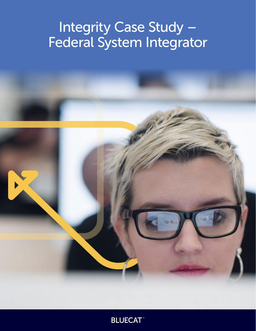# Integrity Case Study – Federal System Integrator

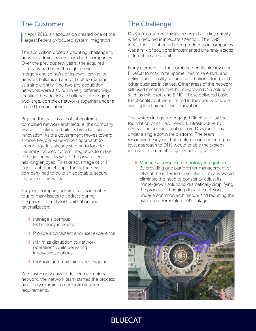# The Customer

In April 2018, an acquisition created one of the largest Federally-focused system integrators. n April 2018, an acquisition created one of the

The acquisition posed a daunting challenge to network administrators from both companies. Over the previous few years, the acquired company had been through a series of mergers and spinoffs of its own, leaving its network balkanized and difficult to manage as a single entity. The two pre-acquisition networks were also run in very different ways, creating the additional challenge of bringing two large, complex networks together under a single IT organization.

Beyond the basic issue of rationalizing a combined network architecture, the company was also looking to build its brand around innovation. As the government moves toward a more flexible, value-driven approach to technology, it is already starting to look to Federally focused system integrators to deliver the agile networks which the private sector has long enjoyed. To take advantage of this significant market opportunity, the new company had to build an adaptable, secure, feature-rich network.

Early on, company administrators identified four primary issues to address during the process of network unification and rationalization:

- Manage a complex technology integration
- Provide a consistent end-user experience
- Minimize disruption to network operations while delivering innovative solutions
- Promote and maintain cyber-hygiene

With just ninety days to deliver a combined network, the network team started the process by closely examining core infrastructure requirements.

#### The Challenge

DNS infrastructure quickly emerged as a key priority which required immediate attention. The DNS infrastructure inherited from predecessor companies was a mix of solutions implemented unevenly across different business units.

Many elements of the combined entity already used BlueCat to maximize uptime, minimize errors, and deliver functionality around automation, cloud, and other business initiatives. Other areas of the network still used decentralized, home-grown DNS solutions such as Microsoft and BIND. These delivered basic functionality but were limited in their ability to scale and support higher-level innovation.

The system integrator engaged BlueCat to lay the foundation of its new network infrastructure by centralizing and automating core DNS functions under a single software platform. The team recognized early on that implementing an enterpriselevel approach to DNS would enable the system integrator to meet its organizational goals:

■ Manage a complex technology integration: By providing one platform for management of

DNS at the enterprise level, the company would eliminate the need to constantly adjust its home-grown solutions, dramatically simplifying the process of bringing disparate networks under a common architecture and reducing the risk from error-related DNS outages.



# **BLUECAT**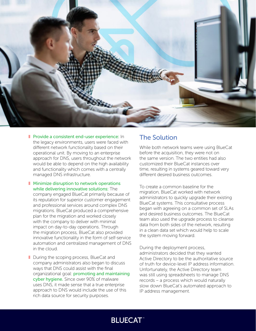

- Provide a consistent end-user experience: In the legacy environments, users were faced with different network functionality based on their operational unit. By moving to an enterprise approach for DNS, users throughout the network would be able to depend on the high availability and functionality which comes with a centrally managed DNS infrastructure.
- Minimize disruption to network operations while delivering innovative solutions: The company engaged BlueCat primarily because of its reputation for superior customer engagement and professional services around complex DNS migrations. BlueCat produced a comprehensive plan for the migration and worked closely with the company to deliver with minimal impact on day-to-day operations. Through the migration process, BlueCat also provided innovative functionality in the form of self-service automation and centralized management of DNS in the cloud.
- During the scoping process, BlueCat and company administrators also began to discuss ways that DNS could assist with the final organizational goal: promoting and maintaining cyber hygiene. Since over 90% of malware uses DNS, it made sense that a true enterprise approach to DNS would include the use of this rich data source for security purposes.

## The Solution

While both network teams were using BlueCat before the acquisition, they were not on the same version. The two entities had also customized their BlueCat instances over time, resulting in systems geared toward very different desired business outcomes.

To create a common baseline for the migration, BlueCat worked with network administrators to quickly upgrade their existing BlueCat systems. This consultative process began with agreeing on a common set of SLAs and desired business outcomes. The BlueCat team also used the upgrade process to cleanse data from both sides of the network, resulting in a clean data set which would help to scale the system moving forward.

During the deployment process, administrators decided that they wanted Active Directory to be the authoritative source of truth for device-level IP address information. Unfortunately, the Active Directory team was still using spreadsheets to manage DNS records – a process which would naturally slow down BlueCat's automated approach to IP address management.